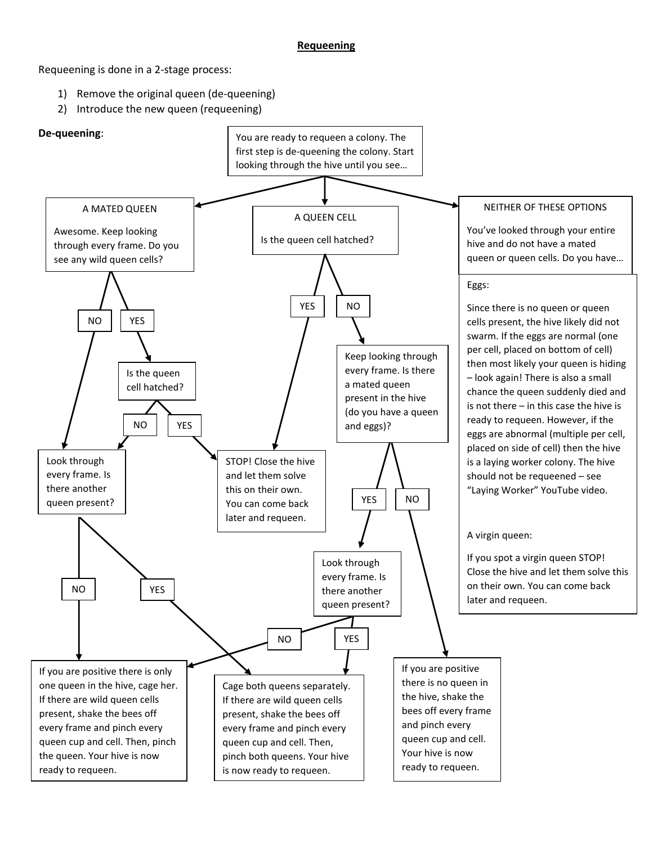## **Requeening**

Requeening is done in a 2-stage process:

- 1) Remove the original queen (de-queening)
- 2) Introduce the new queen (requeening)